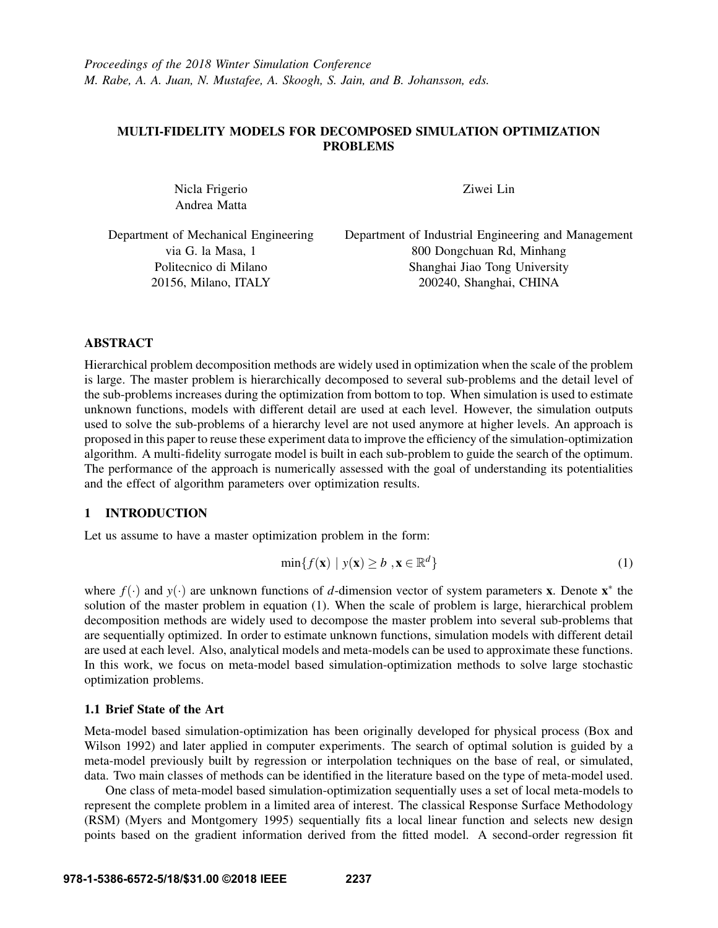# MULTI-FIDELITY MODELS FOR DECOMPOSED SIMULATION OPTIMIZATION PROBLEMS

Nicla Frigerio Andrea Matta

Ziwei Lin

| Department of Mechanical Engineering | Department of Industrial Engineering and Management |
|--------------------------------------|-----------------------------------------------------|
| via G. la Masa, 1                    | 800 Dongchuan Rd, Minhang                           |
| Politecnico di Milano                | Shanghai Jiao Tong University                       |
| 20156, Milano, ITALY                 | 200240, Shanghai, CHINA                             |

# ABSTRACT

Hierarchical problem decomposition methods are widely used in optimization when the scale of the problem is large. The master problem is hierarchically decomposed to several sub-problems and the detail level of the sub-problems increases during the optimization from bottom to top. When simulation is used to estimate unknown functions, models with different detail are used at each level. However, the simulation outputs used to solve the sub-problems of a hierarchy level are not used anymore at higher levels. An approach is proposed in this paper to reuse these experiment data to improve the efficiency of the simulation-optimization algorithm. A multi-fidelity surrogate model is built in each sub-problem to guide the search of the optimum. The performance of the approach is numerically assessed with the goal of understanding its potentialities and the effect of algorithm parameters over optimization results.

# 1 INTRODUCTION

Let us assume to have a master optimization problem in the form:

$$
\min\{f(\mathbf{x}) \mid y(\mathbf{x}) \ge b \, , \mathbf{x} \in \mathbb{R}^d\} \tag{1}
$$

where  $f(\cdot)$  and  $y(\cdot)$  are unknown functions of *d*-dimension vector of system parameters **x**. Denote **x**<sup>\*</sup> the solution of the master problem in equation (1). When the scale of problem is large, hierarchical problem decomposition methods are widely used to decompose the master problem into several sub-problems that are sequentially optimized. In order to estimate unknown functions, simulation models with different detail are used at each level. Also, analytical models and meta-models can be used to approximate these functions. In this work, we focus on meta-model based simulation-optimization methods to solve large stochastic optimization problems.

# 1.1 Brief State of the Art

Meta-model based simulation-optimization has been originally developed for physical process (Box and Wilson 1992) and later applied in computer experiments. The search of optimal solution is guided by a meta-model previously built by regression or interpolation techniques on the base of real, or simulated, data. Two main classes of methods can be identified in the literature based on the type of meta-model used.

One class of meta-model based simulation-optimization sequentially uses a set of local meta-models to represent the complete problem in a limited area of interest. The classical Response Surface Methodology (RSM) (Myers and Montgomery 1995) sequentially fits a local linear function and selects new design points based on the gradient information derived from the fitted model. A second-order regression fit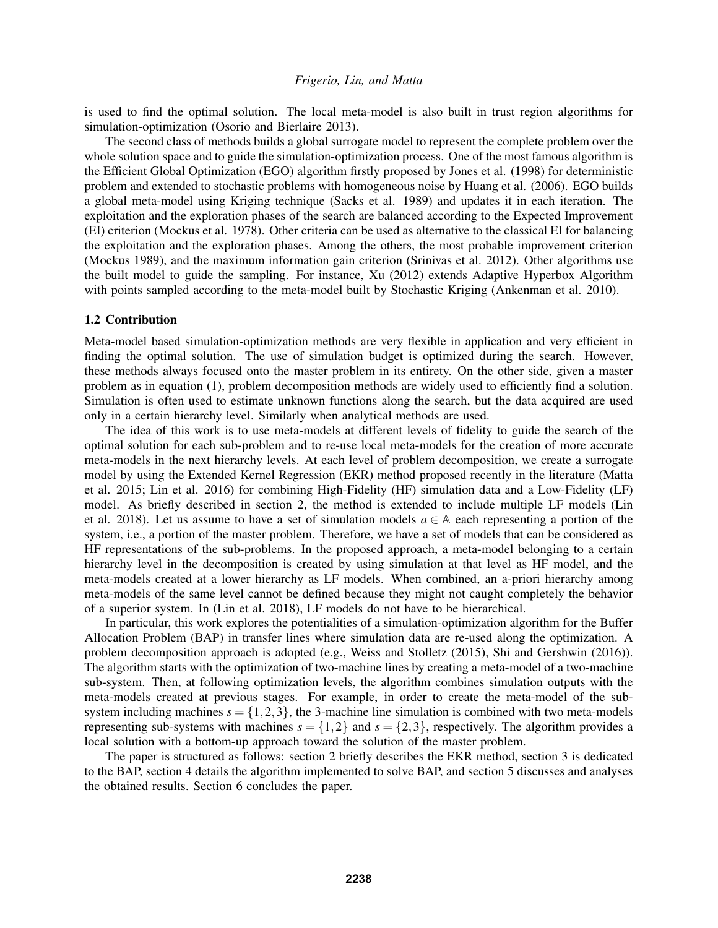is used to find the optimal solution. The local meta-model is also built in trust region algorithms for simulation-optimization (Osorio and Bierlaire 2013).

The second class of methods builds a global surrogate model to represent the complete problem over the whole solution space and to guide the simulation-optimization process. One of the most famous algorithm is the Efficient Global Optimization (EGO) algorithm firstly proposed by Jones et al. (1998) for deterministic problem and extended to stochastic problems with homogeneous noise by Huang et al. (2006). EGO builds a global meta-model using Kriging technique (Sacks et al. 1989) and updates it in each iteration. The exploitation and the exploration phases of the search are balanced according to the Expected Improvement (EI) criterion (Mockus et al. 1978). Other criteria can be used as alternative to the classical EI for balancing the exploitation and the exploration phases. Among the others, the most probable improvement criterion (Mockus 1989), and the maximum information gain criterion (Srinivas et al. 2012). Other algorithms use the built model to guide the sampling. For instance, Xu (2012) extends Adaptive Hyperbox Algorithm with points sampled according to the meta-model built by Stochastic Kriging (Ankenman et al. 2010).

## 1.2 Contribution

Meta-model based simulation-optimization methods are very flexible in application and very efficient in finding the optimal solution. The use of simulation budget is optimized during the search. However, these methods always focused onto the master problem in its entirety. On the other side, given a master problem as in equation (1), problem decomposition methods are widely used to efficiently find a solution. Simulation is often used to estimate unknown functions along the search, but the data acquired are used only in a certain hierarchy level. Similarly when analytical methods are used.

The idea of this work is to use meta-models at different levels of fidelity to guide the search of the optimal solution for each sub-problem and to re-use local meta-models for the creation of more accurate meta-models in the next hierarchy levels. At each level of problem decomposition, we create a surrogate model by using the Extended Kernel Regression (EKR) method proposed recently in the literature (Matta et al. 2015; Lin et al. 2016) for combining High-Fidelity (HF) simulation data and a Low-Fidelity (LF) model. As briefly described in section 2, the method is extended to include multiple LF models (Lin et al. 2018). Let us assume to have a set of simulation models  $a \in A$  each representing a portion of the system, i.e., a portion of the master problem. Therefore, we have a set of models that can be considered as HF representations of the sub-problems. In the proposed approach, a meta-model belonging to a certain hierarchy level in the decomposition is created by using simulation at that level as HF model, and the meta-models created at a lower hierarchy as LF models. When combined, an a-priori hierarchy among meta-models of the same level cannot be defined because they might not caught completely the behavior of a superior system. In (Lin et al. 2018), LF models do not have to be hierarchical.

In particular, this work explores the potentialities of a simulation-optimization algorithm for the Buffer Allocation Problem (BAP) in transfer lines where simulation data are re-used along the optimization. A problem decomposition approach is adopted (e.g., Weiss and Stolletz (2015), Shi and Gershwin (2016)). The algorithm starts with the optimization of two-machine lines by creating a meta-model of a two-machine sub-system. Then, at following optimization levels, the algorithm combines simulation outputs with the meta-models created at previous stages. For example, in order to create the meta-model of the subsystem including machines  $s = \{1,2,3\}$ , the 3-machine line simulation is combined with two meta-models representing sub-systems with machines  $s = \{1,2\}$  and  $s = \{2,3\}$ , respectively. The algorithm provides a local solution with a bottom-up approach toward the solution of the master problem.

The paper is structured as follows: section 2 briefly describes the EKR method, section 3 is dedicated to the BAP, section 4 details the algorithm implemented to solve BAP, and section 5 discusses and analyses the obtained results. Section 6 concludes the paper.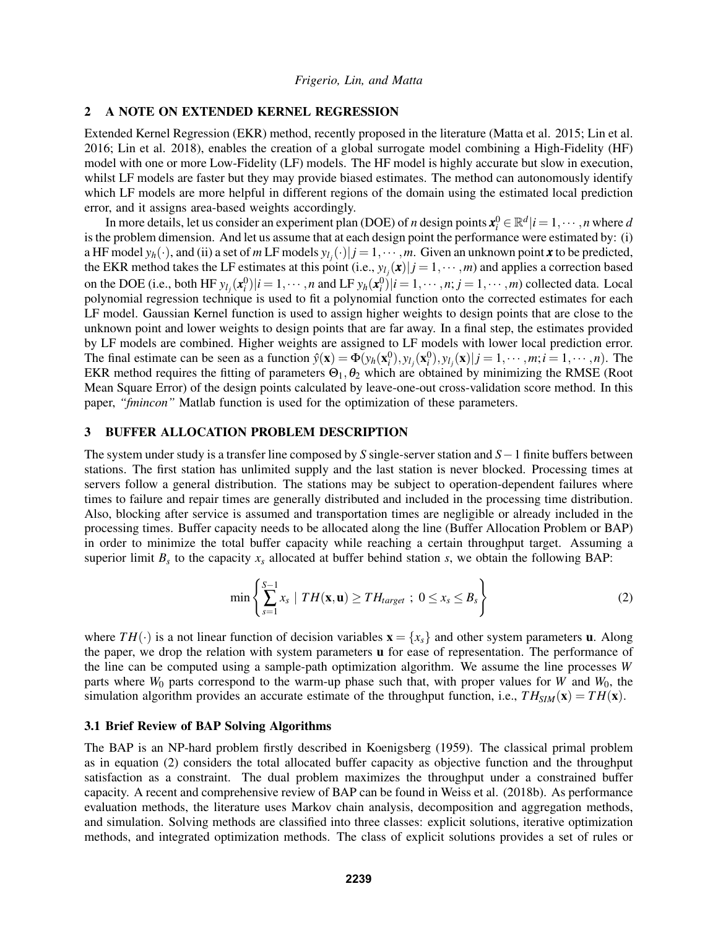## 2 A NOTE ON EXTENDED KERNEL REGRESSION

Extended Kernel Regression (EKR) method, recently proposed in the literature (Matta et al. 2015; Lin et al. 2016; Lin et al. 2018), enables the creation of a global surrogate model combining a High-Fidelity (HF) model with one or more Low-Fidelity (LF) models. The HF model is highly accurate but slow in execution, whilst LF models are faster but they may provide biased estimates. The method can autonomously identify which LF models are more helpful in different regions of the domain using the estimated local prediction error, and it assigns area-based weights accordingly.

In more details, let us consider an experiment plan (DOE) of *n* design points  $x_i^0 \in \mathbb{R}^d | i = 1, \dots, n$  where *d* is the problem dimension. And let us assume that at each design point the performance were estimated by: (i) a HF model  $y_h(\cdot)$ , and (ii) a set of *m* LF models  $y_{l_j}(\cdot)|j=1,\cdots,m$ . Given an unknown point *x* to be predicted, the EKR method takes the LF estimates at this point (i.e.,  $y_{l_j}(x)|j=1,\dotsm,m$ ) and applies a correction based on the DOE (i.e., both HF  $y_{l_j}(\mathbf{x}_i^0)|i=1,\cdots,n$  and LF  $y_h(\mathbf{x}_i^0)|i=1,\cdots,n; j=1,\cdots,m$ ) collected data. Local polynomial regression technique is used to fit a polynomial function onto the corrected estimates for each LF model. Gaussian Kernel function is used to assign higher weights to design points that are close to the unknown point and lower weights to design points that are far away. In a final step, the estimates provided by LF models are combined. Higher weights are assigned to LF models with lower local prediction error. The final estimate can be seen as a function  $\hat{y}(\mathbf{x}) = \Phi(y_h(\mathbf{x}_i^0), y_{l_j}(\mathbf{x}_i^0), y_{l_j}(\mathbf{x})|j = 1, \dots, m; i = 1, \dots, n$ . The EKR method requires the fitting of parameters  $\Theta_1$ ,  $\theta_2$  which are obtained by minimizing the RMSE (Root Mean Square Error) of the design points calculated by leave-one-out cross-validation score method. In this paper, *"fmincon"* Matlab function is used for the optimization of these parameters.

# 3 BUFFER ALLOCATION PROBLEM DESCRIPTION

The system under study is a transfer line composed by *S* single-server station and *S*−1 finite buffers between stations. The first station has unlimited supply and the last station is never blocked. Processing times at servers follow a general distribution. The stations may be subject to operation-dependent failures where times to failure and repair times are generally distributed and included in the processing time distribution. Also, blocking after service is assumed and transportation times are negligible or already included in the processing times. Buffer capacity needs to be allocated along the line (Buffer Allocation Problem or BAP) in order to minimize the total buffer capacity while reaching a certain throughput target. Assuming a superior limit  $B_s$  to the capacity  $x_s$  allocated at buffer behind station  $s$ , we obtain the following BAP:

$$
\min\left\{\sum_{s=1}^{S-1} x_s \mid TH(\mathbf{x}, \mathbf{u}) \geq TH_{target} \ ; \ 0 \leq x_s \leq B_s\right\} \tag{2}
$$

where  $TH(\cdot)$  is a not linear function of decision variables  $\mathbf{x} = \{x_s\}$  and other system parameters **u**. Along the paper, we drop the relation with system parameters u for ease of representation. The performance of the line can be computed using a sample-path optimization algorithm. We assume the line processes *W* parts where *W*<sup>0</sup> parts correspond to the warm-up phase such that, with proper values for *W* and *W*0, the simulation algorithm provides an accurate estimate of the throughput function, i.e.,  $TH_{SIM}(\mathbf{x}) = TH(\mathbf{x})$ .

## 3.1 Brief Review of BAP Solving Algorithms

The BAP is an NP-hard problem firstly described in Koenigsberg (1959). The classical primal problem as in equation (2) considers the total allocated buffer capacity as objective function and the throughput satisfaction as a constraint. The dual problem maximizes the throughput under a constrained buffer capacity. A recent and comprehensive review of BAP can be found in Weiss et al. (2018b). As performance evaluation methods, the literature uses Markov chain analysis, decomposition and aggregation methods, and simulation. Solving methods are classified into three classes: explicit solutions, iterative optimization methods, and integrated optimization methods. The class of explicit solutions provides a set of rules or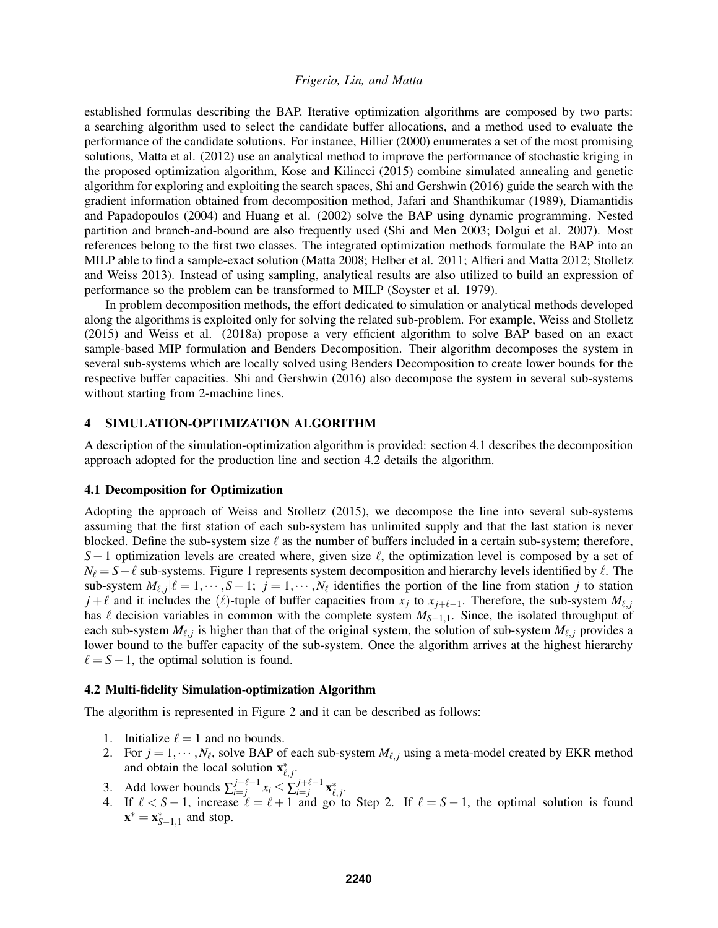established formulas describing the BAP. Iterative optimization algorithms are composed by two parts: a searching algorithm used to select the candidate buffer allocations, and a method used to evaluate the performance of the candidate solutions. For instance, Hillier (2000) enumerates a set of the most promising solutions, Matta et al. (2012) use an analytical method to improve the performance of stochastic kriging in the proposed optimization algorithm, Kose and Kilincci (2015) combine simulated annealing and genetic algorithm for exploring and exploiting the search spaces, Shi and Gershwin (2016) guide the search with the gradient information obtained from decomposition method, Jafari and Shanthikumar (1989), Diamantidis and Papadopoulos (2004) and Huang et al. (2002) solve the BAP using dynamic programming. Nested partition and branch-and-bound are also frequently used (Shi and Men 2003; Dolgui et al. 2007). Most references belong to the first two classes. The integrated optimization methods formulate the BAP into an MILP able to find a sample-exact solution (Matta 2008; Helber et al. 2011; Alfieri and Matta 2012; Stolletz and Weiss 2013). Instead of using sampling, analytical results are also utilized to build an expression of performance so the problem can be transformed to MILP (Soyster et al. 1979).

In problem decomposition methods, the effort dedicated to simulation or analytical methods developed along the algorithms is exploited only for solving the related sub-problem. For example, Weiss and Stolletz (2015) and Weiss et al. (2018a) propose a very efficient algorithm to solve BAP based on an exact sample-based MIP formulation and Benders Decomposition. Their algorithm decomposes the system in several sub-systems which are locally solved using Benders Decomposition to create lower bounds for the respective buffer capacities. Shi and Gershwin (2016) also decompose the system in several sub-systems without starting from 2-machine lines.

## 4 SIMULATION-OPTIMIZATION ALGORITHM

A description of the simulation-optimization algorithm is provided: section 4.1 describes the decomposition approach adopted for the production line and section 4.2 details the algorithm.

## 4.1 Decomposition for Optimization

Adopting the approach of Weiss and Stolletz (2015), we decompose the line into several sub-systems assuming that the first station of each sub-system has unlimited supply and that the last station is never blocked. Define the sub-system size  $\ell$  as the number of buffers included in a certain sub-system; therefore, *S* − 1 optimization levels are created where, given size  $\ell$ , the optimization level is composed by a set of  $N_\ell = S - \ell$  sub-systems. Figure 1 represents system decomposition and hierarchy levels identified by  $\ell$ . The sub-system  $M_{\ell, j}|\ell = 1, \cdots, S-1; j = 1, \cdots, N_{\ell}$  identifies the portion of the line from station *j* to station *j* +  $\ell$  and it includes the ( $\ell$ )-tuple of buffer capacities from  $x_j$  to  $x_{j+\ell-1}$ . Therefore, the sub-system  $M_{\ell,j}$ has  $\ell$  decision variables in common with the complete system  $M_{S-1,1}$ . Since, the isolated throughput of each sub-system  $M_{\ell, j}$  is higher than that of the original system, the solution of sub-system  $M_{\ell, j}$  provides a lower bound to the buffer capacity of the sub-system. Once the algorithm arrives at the highest hierarchy  $\ell = S - 1$ , the optimal solution is found.

## 4.2 Multi-fidelity Simulation-optimization Algorithm

The algorithm is represented in Figure 2 and it can be described as follows:

- 1. Initialize  $\ell = 1$  and no bounds.
- 2. For  $j = 1, \dots, N_\ell$ , solve BAP of each sub-system  $M_{\ell, j}$  using a meta-model created by EKR method and obtain the local solution  $\mathbf{x}_{\ell,j}^*$ .
- 3. Add lower bounds  $\sum_{i=j}^{j+\ell-1}$ *j*+ $\ell$ -1</sup> *x*<sub>*i*</sub> ≤  $\sum_{i=j}$ *j*+ $\ell$ -1  $_{i=j}^{j+\ell-1}\mathbf{x}_{\ell,j}^{\ast}.$
- 4. If  $\ell < S 1$ , increase  $\ell = \ell + 1$  and go to Step 2. If  $\ell = S 1$ , the optimal solution is found  $\mathbf{x}^* = \mathbf{x}_{S-1,1}^*$  and stop.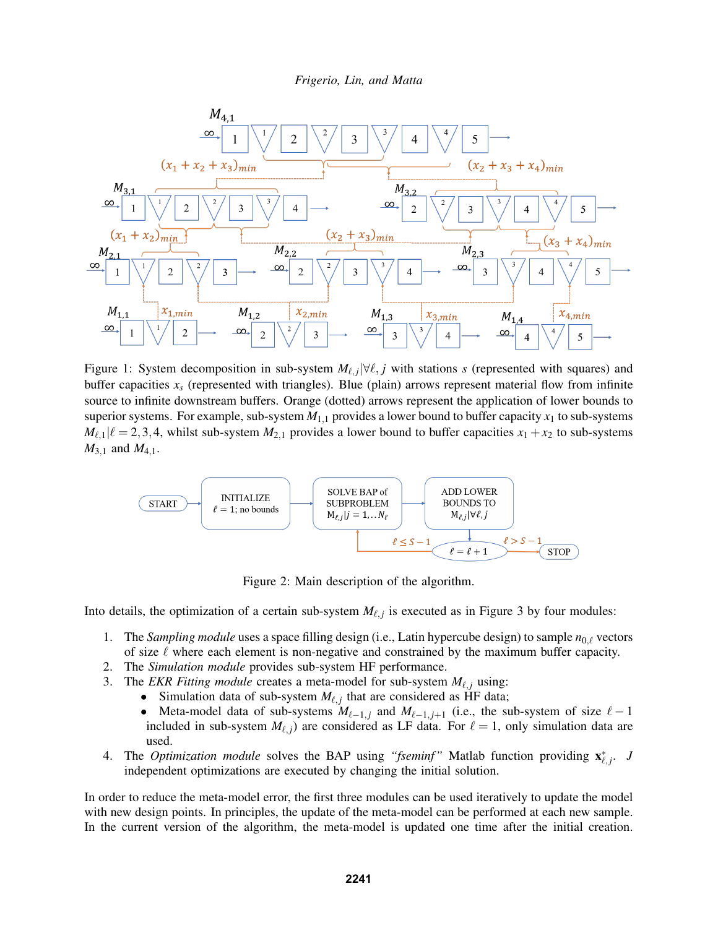

Figure 1: System decomposition in sub-system  $M_{\ell,j}$   $|\forall \ell, j$  with stations *s* (represented with squares) and buffer capacities  $x<sub>x</sub>$  (represented with triangles). Blue (plain) arrows represent material flow from infinite source to infinite downstream buffers. Orange (dotted) arrows represent the application of lower bounds to superior systems. For example, sub-system  $M_{1,1}$  provides a lower bound to buffer capacity  $x_1$  to sub-systems  $M_{\ell,1}|\ell = 2,3,4$ , whilst sub-system  $M_{2,1}$  provides a lower bound to buffer capacities  $x_1 + x_2$  to sub-systems  $M_{3,1}$  and  $M_{4,1}$ .



Figure 2: Main description of the algorithm.

Into details, the optimization of a certain sub-system  $M_{\ell, j}$  is executed as in Figure 3 by four modules:

- 1. The *Sampling module* uses a space filling design (i.e., Latin hypercube design) to sample  $n_{0,\ell}$  vectors of size  $\ell$  where each element is non-negative and constrained by the maximum buffer capacity.
- 2. The *Simulation module* provides sub-system HF performance.
- 3. The *EKR Fitting module* creates a meta-model for sub-system  $M_{\ell, i}$  using:
	- Simulation data of sub-system  $M_{\ell, j}$  that are considered as HF data;
	- Meta-model data of sub-systems  $M_{\ell-1,j}$  and  $M_{\ell-1,j+1}$  (i.e., the sub-system of size  $\ell-1$ included in sub-system  $M_{\ell, j}$ ) are considered as LF data. For  $\ell = 1$ , only simulation data are used.
- 4. The *Optimization module* solves the BAP using "fseminf" Matlab function providing  $\mathbf{x}_{\ell,j}^*$ . *J* independent optimizations are executed by changing the initial solution.

In order to reduce the meta-model error, the first three modules can be used iteratively to update the model with new design points. In principles, the update of the meta-model can be performed at each new sample. In the current version of the algorithm, the meta-model is updated one time after the initial creation.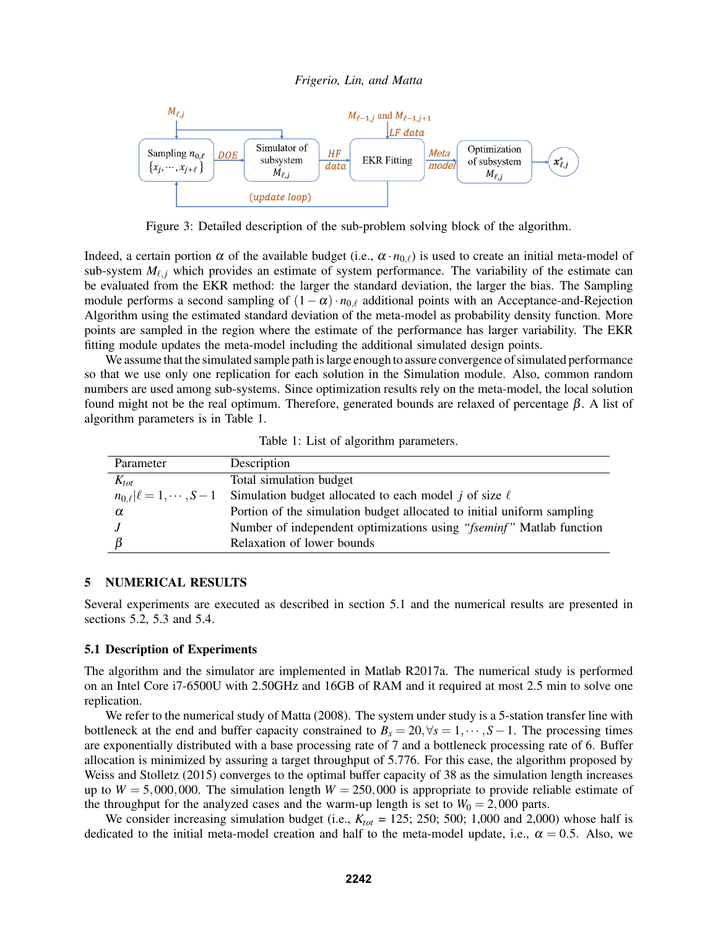

Figure 3: Detailed description of the sub-problem solving block of the algorithm.

Indeed, a certain portion  $\alpha$  of the available budget (i.e.,  $\alpha \cdot n_{0,\ell}$ ) is used to create an initial meta-model of sub-system  $M_{\ell,i}$  which provides an estimate of system performance. The variability of the estimate can be evaluated from the EKR method: the larger the standard deviation, the larger the bias. The Sampling module performs a second sampling of  $(1-\alpha) \cdot n_{0,\ell}$  additional points with an Acceptance-and-Rejection Algorithm using the estimated standard deviation of the meta-model as probability density function. More points are sampled in the region where the estimate of the performance has larger variability. The EKR fitting module updates the meta-model including the additional simulated design points.

We assume that the simulated sample path is large enough to assure convergence of simulated performance so that we use only one replication for each solution in the Simulation module. Also, common random numbers are used among sub-systems. Since optimization results rely on the meta-model, the local solution found might not be the real optimum. Therefore, generated bounds are relaxed of percentage β. A list of algorithm parameters is in Table 1.

Table 1: List of algorithm parameters.

| Parameter | Description                                                                               |
|-----------|-------------------------------------------------------------------------------------------|
| $K_{tot}$ | Total simulation budget                                                                   |
|           | $n_{0,\ell} \ell=1,\dots, S-1$ Simulation budget allocated to each model j of size $\ell$ |
| α         | Portion of the simulation budget allocated to initial uniform sampling                    |
|           | Number of independent optimizations using "fseminf" Matlab function                       |
|           | Relaxation of lower bounds                                                                |

## 5 NUMERICAL RESULTS

Several experiments are executed as described in section 5.1 and the numerical results are presented in sections 5.2, 5.3 and 5.4.

#### 5.1 Description of Experiments

The algorithm and the simulator are implemented in Matlab R2017a. The numerical study is performed on an Intel Core i7-6500U with 2.50GHz and 16GB of RAM and it required at most 2.5 min to solve one replication.

We refer to the numerical study of Matta (2008). The system under study is a 5-station transfer line with bottleneck at the end and buffer capacity constrained to  $B_s = 20, \forall s = 1, \dots, S-1$ . The processing times are exponentially distributed with a base processing rate of 7 and a bottleneck processing rate of 6. Buffer allocation is minimized by assuring a target throughput of 5.776. For this case, the algorithm proposed by Weiss and Stolletz (2015) converges to the optimal buffer capacity of 38 as the simulation length increases up to  $W = 5,000,000$ . The simulation length  $W = 250,000$  is appropriate to provide reliable estimate of the throughput for the analyzed cases and the warm-up length is set to  $W_0 = 2{,}000$  parts.

We consider increasing simulation budget (i.e.,  $K_{tot} = 125$ ; 250; 500; 1,000 and 2,000) whose half is dedicated to the initial meta-model creation and half to the meta-model update, i.e.,  $\alpha = 0.5$ . Also, we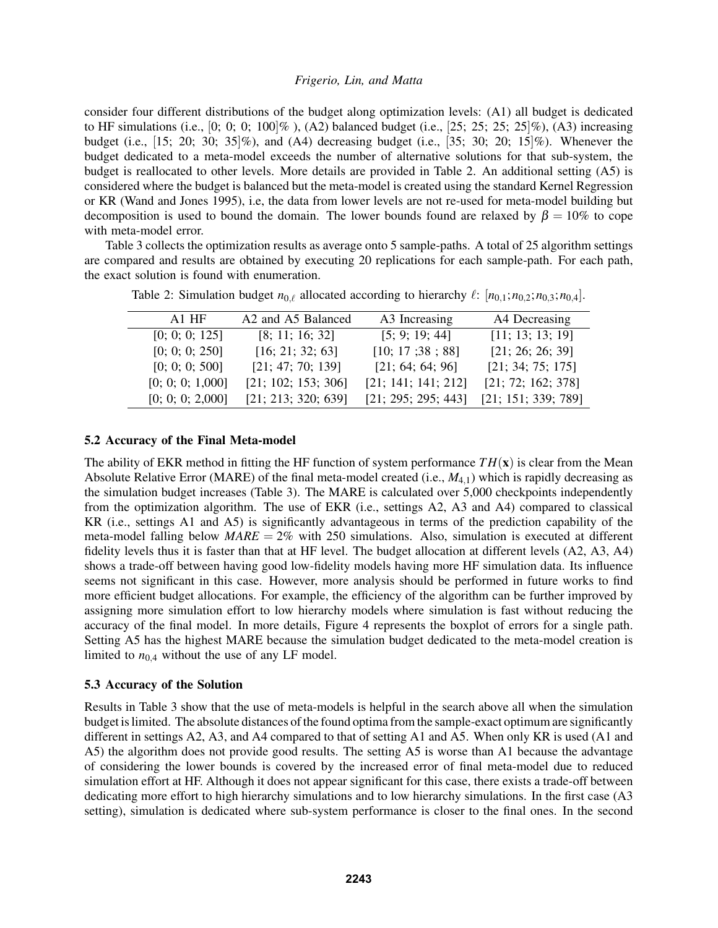consider four different distributions of the budget along optimization levels: (A1) all budget is dedicated to HF simulations (i.e.,  $[0; 0; 0; 100]$ %), (A2) balanced budget (i.e.,  $[25; 25; 25; 25]$ %), (A3) increasing budget (i.e.,  $[15; 20; 30; 35]\%$ ), and  $(A4)$  decreasing budget (i.e.,  $[35; 30; 20; 15]\%$ ). Whenever the budget dedicated to a meta-model exceeds the number of alternative solutions for that sub-system, the budget is reallocated to other levels. More details are provided in Table 2. An additional setting (A5) is considered where the budget is balanced but the meta-model is created using the standard Kernel Regression or KR (Wand and Jones 1995), i.e, the data from lower levels are not re-used for meta-model building but decomposition is used to bound the domain. The lower bounds found are relaxed by  $\beta = 10\%$  to cope with meta-model error.

Table 3 collects the optimization results as average onto 5 sample-paths. A total of 25 algorithm settings are compared and results are obtained by executing 20 replications for each sample-path. For each path, the exact solution is found with enumeration.

| $A1$ HF          | A <sub>2</sub> and A <sub>5</sub> Balanced | A3 Increasing       | A4 Decreasing       |
|------------------|--------------------------------------------|---------------------|---------------------|
| [0; 0; 0; 125]   | [8; 11; 16; 32]                            | [5; 9; 19; 44]      | [11; 13; 13; 19]    |
| [0; 0; 0; 250]   | [16; 21; 32; 63]                           | [10; 17; 38; 88]    | [21; 26; 26; 39]    |
| [0; 0; 0; 500]   | [21; 47; 70; 139]                          | [21; 64; 64; 96]    | [21; 34; 75; 175]   |
| [0; 0; 0; 1,000] | [21; 102; 153; 306]                        | [21; 141; 141; 212] | [21; 72; 162; 378]  |
| [0; 0; 0; 2,000] | [21; 213; 320; 639]                        | [21; 295; 295; 443] | [21; 151; 339; 789] |

Table 2: Simulation budget  $n_{0,\ell}$  allocated according to hierarchy  $\ell$ :  $[n_{0,1}; n_{0,2}; n_{0,3}; n_{0,4}]$ .

#### 5.2 Accuracy of the Final Meta-model

The ability of EKR method in fitting the HF function of system performance  $TH(x)$  is clear from the Mean Absolute Relative Error (MARE) of the final meta-model created (i.e., *M*4,1) which is rapidly decreasing as the simulation budget increases (Table 3). The MARE is calculated over 5,000 checkpoints independently from the optimization algorithm. The use of EKR (i.e., settings A2, A3 and A4) compared to classical KR (i.e., settings A1 and A5) is significantly advantageous in terms of the prediction capability of the meta-model falling below  $MARE = 2\%$  with 250 simulations. Also, simulation is executed at different fidelity levels thus it is faster than that at HF level. The budget allocation at different levels (A2, A3, A4) shows a trade-off between having good low-fidelity models having more HF simulation data. Its influence seems not significant in this case. However, more analysis should be performed in future works to find more efficient budget allocations. For example, the efficiency of the algorithm can be further improved by assigning more simulation effort to low hierarchy models where simulation is fast without reducing the accuracy of the final model. In more details, Figure 4 represents the boxplot of errors for a single path. Setting A5 has the highest MARE because the simulation budget dedicated to the meta-model creation is limited to  $n_{0,4}$  without the use of any LF model.

# 5.3 Accuracy of the Solution

Results in Table 3 show that the use of meta-models is helpful in the search above all when the simulation budget is limited. The absolute distances of the found optima from the sample-exact optimum are significantly different in settings A2, A3, and A4 compared to that of setting A1 and A5. When only KR is used (A1 and A5) the algorithm does not provide good results. The setting A5 is worse than A1 because the advantage of considering the lower bounds is covered by the increased error of final meta-model due to reduced simulation effort at HF. Although it does not appear significant for this case, there exists a trade-off between dedicating more effort to high hierarchy simulations and to low hierarchy simulations. In the first case (A3 setting), simulation is dedicated where sub-system performance is closer to the final ones. In the second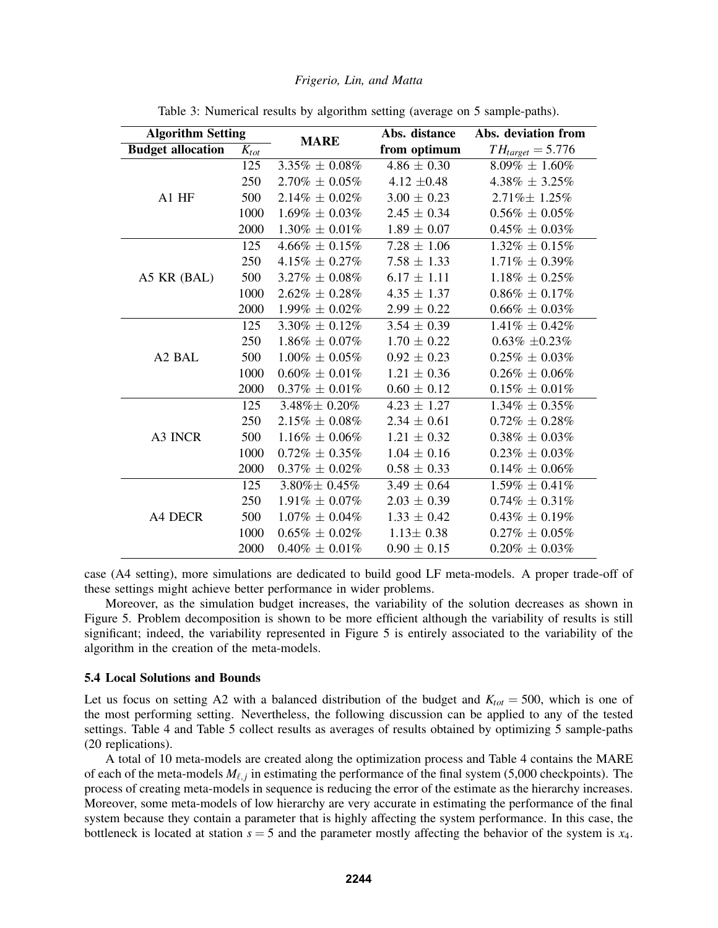| <b>Algorithm Setting</b>       |           |                     | Abs. distance   | Abs. deviation from   |  |
|--------------------------------|-----------|---------------------|-----------------|-----------------------|--|
| <b>Budget allocation</b>       | $K_{tot}$ | <b>MARE</b>         | from optimum    | $TH_{target} = 5.776$ |  |
|                                | 125       | $3.35\% \pm 0.08\%$ | $4.86 \pm 0.30$ | $8.09\% \pm 1.60\%$   |  |
|                                | 250       | $2.70\% \pm 0.05\%$ | 4.12 $\pm 0.48$ | $4.38\% \pm 3.25\%$   |  |
| A1 HF                          | 500       | $2.14\% \pm 0.02\%$ | $3.00 \pm 0.23$ | 2.71% ± 1.25%         |  |
|                                | 1000      | $1.69\% \pm 0.03\%$ | $2.45 \pm 0.34$ | $0.56\% \pm 0.05\%$   |  |
|                                | 2000      | $1.30\% \pm 0.01\%$ | $1.89 \pm 0.07$ | $0.45\% \pm 0.03\%$   |  |
|                                | 125       | $4.66\% \pm 0.15\%$ | $7.28 \pm 1.06$ | $1.32\% \pm 0.15\%$   |  |
|                                | 250       | $4.15\% \pm 0.27\%$ | $7.58 \pm 1.33$ | $1.71\% \pm 0.39\%$   |  |
| A5 KR (BAL)                    | 500       | $3.27\% \pm 0.08\%$ | $6.17 \pm 1.11$ | $1.18\% \pm 0.25\%$   |  |
|                                | 1000      | $2.62\% \pm 0.28\%$ | $4.35 \pm 1.37$ | $0.86\% \pm 0.17\%$   |  |
|                                | 2000      | $1.99\% \pm 0.02\%$ | $2.99 \pm 0.22$ | $0.66\% \pm 0.03\%$   |  |
|                                | 125       | $3.30\% \pm 0.12\%$ | $3.54 \pm 0.39$ | $1.41\% \pm 0.42\%$   |  |
|                                | 250       | $1.86\% \pm 0.07\%$ | $1.70 \pm 0.22$ | $0.63\% \pm 0.23\%$   |  |
| A <sub>2</sub> B <sub>AL</sub> | 500       | $1.00\% \pm 0.05\%$ | $0.92 \pm 0.23$ | $0.25\% \pm 0.03\%$   |  |
|                                | 1000      | $0.60\% \pm 0.01\%$ | $1.21 \pm 0.36$ | $0.26\% \pm 0.06\%$   |  |
|                                | 2000      | $0.37\% \pm 0.01\%$ | $0.60 \pm 0.12$ | $0.15\% \pm 0.01\%$   |  |
| A3 INCR                        | 125       | $3.48\% \pm 0.20\%$ | $4.23 \pm 1.27$ | $1.34\% \pm 0.35\%$   |  |
|                                | 250       | $2.15\% \pm 0.08\%$ | $2.34 \pm 0.61$ | $0.72\% \pm 0.28\%$   |  |
|                                | 500       | $1.16\% \pm 0.06\%$ | $1.21 \pm 0.32$ | $0.38\% \pm 0.03\%$   |  |
|                                | 1000      | $0.72\% \pm 0.35\%$ | $1.04 \pm 0.16$ | $0.23\% \pm 0.03\%$   |  |
|                                | 2000      | $0.37\% \pm 0.02\%$ | $0.58 \pm 0.33$ | $0.14\% \pm 0.06\%$   |  |
| A4 DECR                        | 125       | $3.80\% \pm 0.45\%$ | $3.49 \pm 0.64$ | $1.59\% \pm 0.41\%$   |  |
|                                | 250       | $1.91\% \pm 0.07\%$ | $2.03 \pm 0.39$ | $0.74\% \pm 0.31\%$   |  |
|                                | 500       | $1.07\% \pm 0.04\%$ | $1.33 \pm 0.42$ | $0.43\% \pm 0.19\%$   |  |
|                                | 1000      | $0.65\% \pm 0.02\%$ | $1.13 \pm 0.38$ | $0.27\% \pm 0.05\%$   |  |
|                                | 2000      | $0.40\% \pm 0.01\%$ | $0.90 \pm 0.15$ | $0.20\% \pm 0.03\%$   |  |

Table 3: Numerical results by algorithm setting (average on 5 sample-paths).

case (A4 setting), more simulations are dedicated to build good LF meta-models. A proper trade-off of these settings might achieve better performance in wider problems.

Moreover, as the simulation budget increases, the variability of the solution decreases as shown in Figure 5. Problem decomposition is shown to be more efficient although the variability of results is still significant; indeed, the variability represented in Figure 5 is entirely associated to the variability of the algorithm in the creation of the meta-models.

#### 5.4 Local Solutions and Bounds

Let us focus on setting A2 with a balanced distribution of the budget and  $K_{tot} = 500$ , which is one of the most performing setting. Nevertheless, the following discussion can be applied to any of the tested settings. Table 4 and Table 5 collect results as averages of results obtained by optimizing 5 sample-paths (20 replications).

A total of 10 meta-models are created along the optimization process and Table 4 contains the MARE of each of the meta-models  $M_{\ell, j}$  in estimating the performance of the final system (5,000 checkpoints). The process of creating meta-models in sequence is reducing the error of the estimate as the hierarchy increases. Moreover, some meta-models of low hierarchy are very accurate in estimating the performance of the final system because they contain a parameter that is highly affecting the system performance. In this case, the bottleneck is located at station  $s = 5$  and the parameter mostly affecting the behavior of the system is  $x_4$ .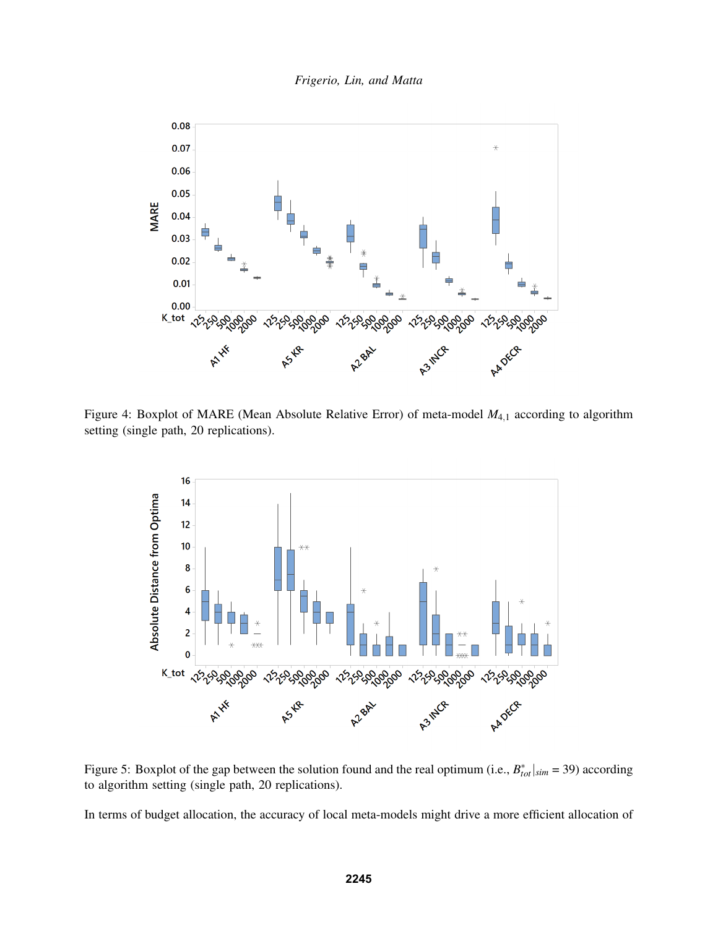*Frigerio, Lin, and Matta*



Figure 4: Boxplot of MARE (Mean Absolute Relative Error) of meta-model  $M_{4,1}$  according to algorithm setting (single path, 20 replications).



Figure 5: Boxplot of the gap between the solution found and the real optimum (i.e.,  $B_{tot}^*|_{sim} = 39$ ) according to algorithm setting (single path, 20 replications).

In terms of budget allocation, the accuracy of local meta-models might drive a more efficient allocation of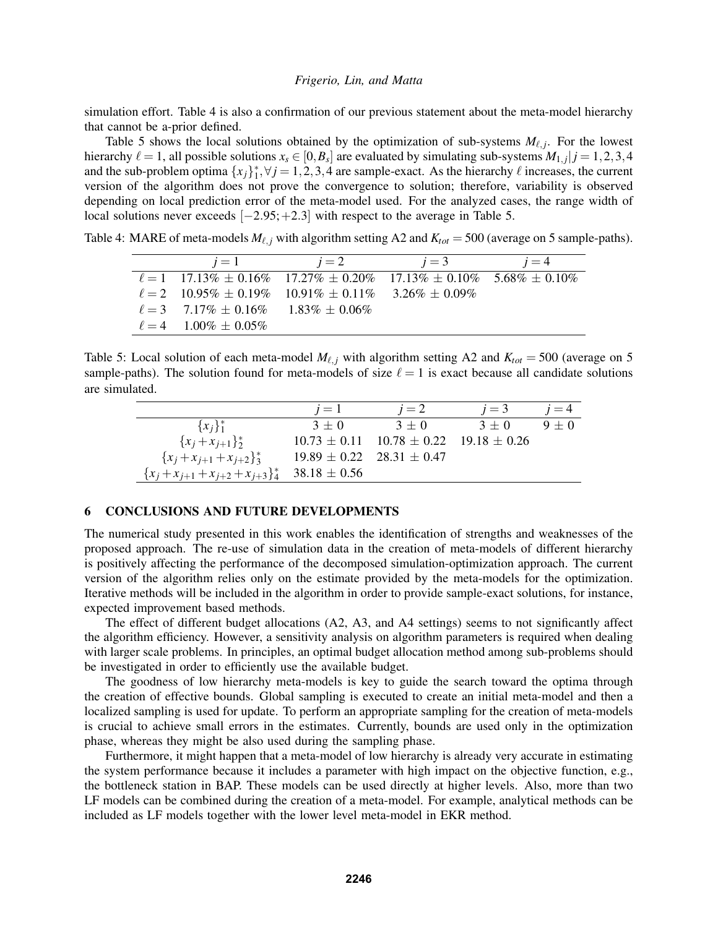simulation effort. Table 4 is also a confirmation of our previous statement about the meta-model hierarchy that cannot be a-prior defined.

Table 5 shows the local solutions obtained by the optimization of sub-systems  $M_{\ell, j}$ . For the lowest hierarchy  $\ell = 1$ , all possible solutions  $x_s \in [0,B_s]$  are evaluated by simulating sub-systems  $M_{1,j}|j = 1,2,3,4$ and the sub-problem optima  $\{x_j\}_1^*$ ,  $\forall j = 1, 2, 3, 4$  are sample-exact. As the hierarchy  $\ell$  increases, the current version of the algorithm does not prove the convergence to solution; therefore, variability is observed depending on local prediction error of the meta-model used. For the analyzed cases, the range width of local solutions never exceeds [−2.95;+2.3] with respect to the average in Table 5.

Table 4: MARE of meta-models  $M_{\ell, j}$  with algorithm setting A2 and  $K_{tot} = 500$  (average on 5 sample-paths).

| $i=1$                                      | $i=2$                                                                         | $i=3$ | $i=4$ |
|--------------------------------------------|-------------------------------------------------------------------------------|-------|-------|
|                                            | $\ell = 1$ 17.13\% + 0.16\% 17.27\% + 0.20\% 17.13\% + 0.10\% 5.68\% + 0.10\% |       |       |
|                                            | $\ell = 2$ 10.95% + 0.19% 10.91% + 0.11% 3.26% + 0.09%                        |       |       |
| $\ell = 3$ 7.17\% + 0.16\% 1.83\% + 0.06\% |                                                                               |       |       |
| $\ell = 4$ 1.00% + 0.05%                   |                                                                               |       |       |

Table 5: Local solution of each meta-model  $M_{\ell, j}$  with algorithm setting A2 and  $K_{tot} = 500$  (average on 5 sample-paths). The solution found for meta-models of size  $\ell = 1$  is exact because all candidate solutions are simulated.

|                                                      | $i=1$   | $i=2$                                              | $i=3$   | $i=4$   |
|------------------------------------------------------|---------|----------------------------------------------------|---------|---------|
| ${x_i}_{1}^*$                                        | $3 + 0$ | $3 + 0$                                            | $3 + 0$ | $9 + 0$ |
| ${x_i + x_{i+1}}_2^*$                                |         | $10.73 \pm 0.11$ $10.78 \pm 0.22$ $19.18 \pm 0.26$ |         |         |
| ${x_i + x_{i+1} + x_{i+2}}^*$                        |         | $19.89 \pm 0.22$ $28.31 \pm 0.47$                  |         |         |
| ${x_j + x_{j+1} + x_{j+2} + x_{j+3}}^*$ 38.18 ± 0.56 |         |                                                    |         |         |

## 6 CONCLUSIONS AND FUTURE DEVELOPMENTS

The numerical study presented in this work enables the identification of strengths and weaknesses of the proposed approach. The re-use of simulation data in the creation of meta-models of different hierarchy is positively affecting the performance of the decomposed simulation-optimization approach. The current version of the algorithm relies only on the estimate provided by the meta-models for the optimization. Iterative methods will be included in the algorithm in order to provide sample-exact solutions, for instance, expected improvement based methods.

The effect of different budget allocations (A2, A3, and A4 settings) seems to not significantly affect the algorithm efficiency. However, a sensitivity analysis on algorithm parameters is required when dealing with larger scale problems. In principles, an optimal budget allocation method among sub-problems should be investigated in order to efficiently use the available budget.

The goodness of low hierarchy meta-models is key to guide the search toward the optima through the creation of effective bounds. Global sampling is executed to create an initial meta-model and then a localized sampling is used for update. To perform an appropriate sampling for the creation of meta-models is crucial to achieve small errors in the estimates. Currently, bounds are used only in the optimization phase, whereas they might be also used during the sampling phase.

Furthermore, it might happen that a meta-model of low hierarchy is already very accurate in estimating the system performance because it includes a parameter with high impact on the objective function, e.g., the bottleneck station in BAP. These models can be used directly at higher levels. Also, more than two LF models can be combined during the creation of a meta-model. For example, analytical methods can be included as LF models together with the lower level meta-model in EKR method.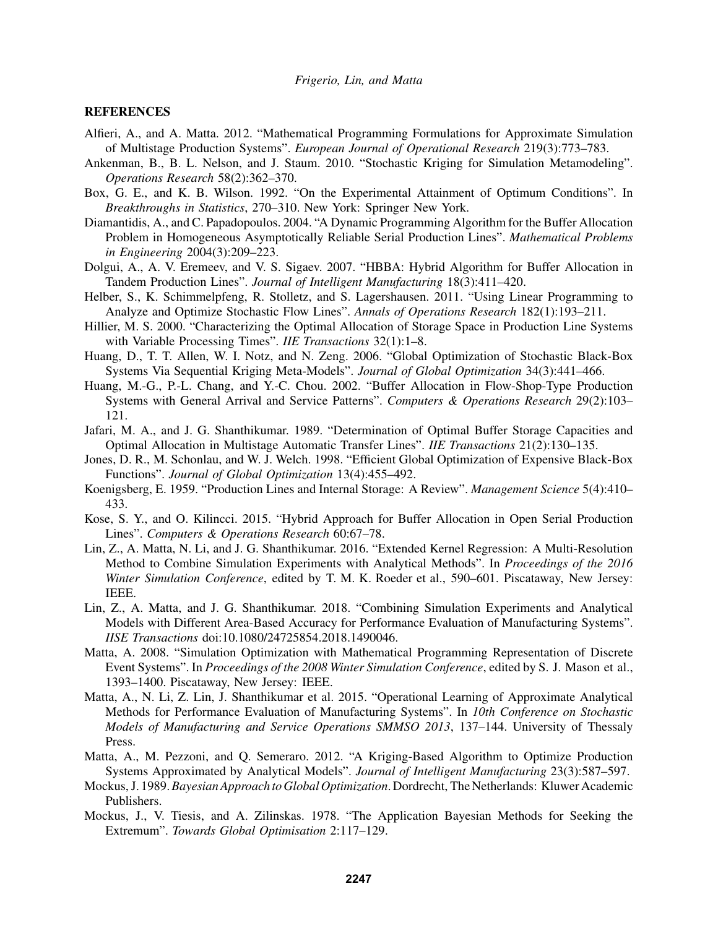### **REFERENCES**

- Alfieri, A., and A. Matta. 2012. "Mathematical Programming Formulations for Approximate Simulation of Multistage Production Systems". *European Journal of Operational Research* 219(3):773–783.
- Ankenman, B., B. L. Nelson, and J. Staum. 2010. "Stochastic Kriging for Simulation Metamodeling". *Operations Research* 58(2):362–370.
- Box, G. E., and K. B. Wilson. 1992. "On the Experimental Attainment of Optimum Conditions". In *Breakthroughs in Statistics*, 270–310. New York: Springer New York.
- Diamantidis, A., and C. Papadopoulos. 2004. "A Dynamic Programming Algorithm for the Buffer Allocation Problem in Homogeneous Asymptotically Reliable Serial Production Lines". *Mathematical Problems in Engineering* 2004(3):209–223.
- Dolgui, A., A. V. Eremeev, and V. S. Sigaev. 2007. "HBBA: Hybrid Algorithm for Buffer Allocation in Tandem Production Lines". *Journal of Intelligent Manufacturing* 18(3):411–420.
- Helber, S., K. Schimmelpfeng, R. Stolletz, and S. Lagershausen. 2011. "Using Linear Programming to Analyze and Optimize Stochastic Flow Lines". *Annals of Operations Research* 182(1):193–211.
- Hillier, M. S. 2000. "Characterizing the Optimal Allocation of Storage Space in Production Line Systems with Variable Processing Times". *IIE Transactions* 32(1):1–8.
- Huang, D., T. T. Allen, W. I. Notz, and N. Zeng. 2006. "Global Optimization of Stochastic Black-Box Systems Via Sequential Kriging Meta-Models". *Journal of Global Optimization* 34(3):441–466.
- Huang, M.-G., P.-L. Chang, and Y.-C. Chou. 2002. "Buffer Allocation in Flow-Shop-Type Production Systems with General Arrival and Service Patterns". *Computers & Operations Research* 29(2):103– 121.
- Jafari, M. A., and J. G. Shanthikumar. 1989. "Determination of Optimal Buffer Storage Capacities and Optimal Allocation in Multistage Automatic Transfer Lines". *IIE Transactions* 21(2):130–135.
- Jones, D. R., M. Schonlau, and W. J. Welch. 1998. "Efficient Global Optimization of Expensive Black-Box Functions". *Journal of Global Optimization* 13(4):455–492.
- Koenigsberg, E. 1959. "Production Lines and Internal Storage: A Review". *Management Science* 5(4):410– 433.
- Kose, S. Y., and O. Kilincci. 2015. "Hybrid Approach for Buffer Allocation in Open Serial Production Lines". *Computers & Operations Research* 60:67–78.
- Lin, Z., A. Matta, N. Li, and J. G. Shanthikumar. 2016. "Extended Kernel Regression: A Multi-Resolution Method to Combine Simulation Experiments with Analytical Methods". In *Proceedings of the 2016 Winter Simulation Conference*, edited by T. M. K. Roeder et al., 590–601. Piscataway, New Jersey: IEEE.
- Lin, Z., A. Matta, and J. G. Shanthikumar. 2018. "Combining Simulation Experiments and Analytical Models with Different Area-Based Accuracy for Performance Evaluation of Manufacturing Systems". *IISE Transactions* doi:10.1080/24725854.2018.1490046.
- Matta, A. 2008. "Simulation Optimization with Mathematical Programming Representation of Discrete Event Systems". In *Proceedings of the 2008 Winter Simulation Conference*, edited by S. J. Mason et al., 1393–1400. Piscataway, New Jersey: IEEE.
- Matta, A., N. Li, Z. Lin, J. Shanthikumar et al. 2015. "Operational Learning of Approximate Analytical Methods for Performance Evaluation of Manufacturing Systems". In *10th Conference on Stochastic Models of Manufacturing and Service Operations SMMSO 2013*, 137–144. University of Thessaly Press.
- Matta, A., M. Pezzoni, and Q. Semeraro. 2012. "A Kriging-Based Algorithm to Optimize Production Systems Approximated by Analytical Models". *Journal of Intelligent Manufacturing* 23(3):587–597.
- Mockus, J. 1989.*Bayesian Approach to Global Optimization*. Dordrecht, The Netherlands: Kluwer Academic Publishers.
- Mockus, J., V. Tiesis, and A. Zilinskas. 1978. "The Application Bayesian Methods for Seeking the Extremum". *Towards Global Optimisation* 2:117–129.